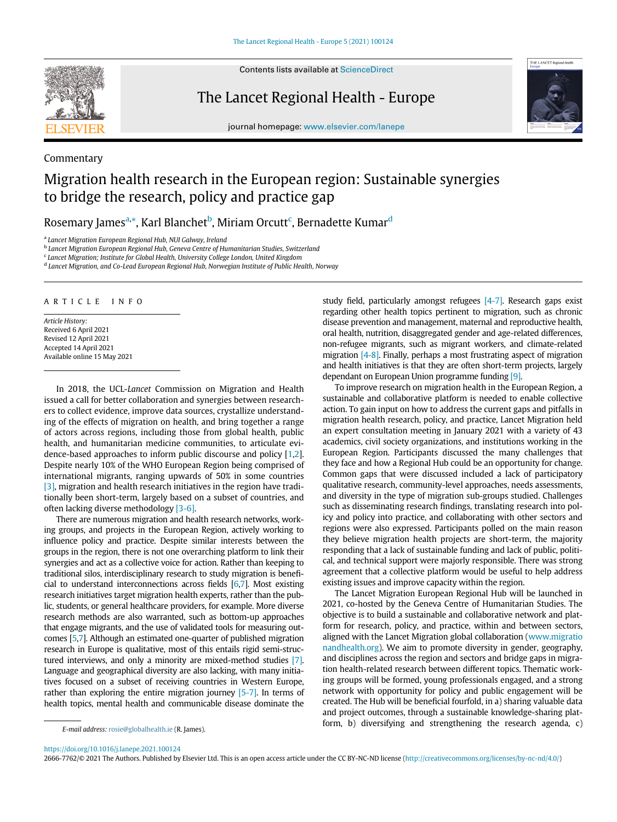

Commentary

Contents lists available at ScienceDirect

The Lancet Regional Health - Europe



journal homepage: [www.elsevier.com/lanepe](http://www.elsevier.com/lanepe)

# Migration health research in the European region: Sustainable synergies to bridge the research, policy and practice gap

Rosem[a](#page-0-0)ry James<sup>a,</sup>\*, Karl Blanchet<sup>[b](#page-0-1)</sup>, Miriam Or[c](#page-0-2)utt<sup>c</sup>, Berna[d](#page-0-3)ette Kumar<sup>d</sup>

<span id="page-0-0"></span><sup>a</sup> Lancet Migration European Regional Hub, NUI Galway, Ireland

<span id="page-0-1"></span><sup>b</sup> Lancet Migration European Regional Hub, Geneva Centre of Humanitarian Studies, Switzerland

<span id="page-0-2"></span><sup>c</sup> Lancet Migration; Institute for Global Health, University College London, United Kingdom

<span id="page-0-3"></span><sup>d</sup> Lancet Migration, and Co-Lead European Regional Hub, Norwegian Institute of Public Health, Norway

ARTICLE INFO

Article History: Received 6 April 2021 Revised 12 April 2021 Accepted 14 April 2021 Available online 15 May 2021

In 2018, the UCL-Lancet Commission on Migration and Health issued a call for better collaboration and synergies between researchers to collect evidence, improve data sources, crystallize understanding of the effects of migration on health, and bring together a range of actors across regions, including those from global health, public health, and humanitarian medicine communities, to articulate evidence-based approaches to inform public discourse and policy [[1,](#page-1-0)[2\]](#page-1-1). Despite nearly 10% of the WHO European Region being comprised of international migrants, ranging upwards of 50% in some countries [\[3\],](#page-1-2) migration and health research initiatives in the region have traditionally been short-term, largely based on a subset of countries, and often lacking diverse methodology [\[3-6\].](#page-1-2)

There are numerous migration and health research networks, working groups, and projects in the European Region, actively working to influence policy and practice. Despite similar interests between the groups in the region, there is not one overarching platform to link their synergies and act as a collective voice for action. Rather than keeping to traditional silos, interdisciplinary research to study migration is beneficial to understand interconnections across fields [\[6](#page-1-3)[,7](#page-1-4)]. Most existing research initiatives target migration health experts, rather than the public, students, or general healthcare providers, for example. More diverse research methods are also warranted, such as bottom-up approaches that engage migrants, and the use of validated tools for measuring outcomes [[5](#page-1-5)[,7](#page-1-4)]. Although an estimated one-quarter of published migration research in Europe is qualitative, most of this entails rigid semi-structured interviews, and only a minority are mixed-method studies [\[7\].](#page-1-4) Language and geographical diversity are also lacking, with many initiatives focused on a subset of receiving countries in Western Europe, rather than exploring the entire migration journey [\[5-7\].](#page-1-5) In terms of health topics, mental health and communicable disease dominate the study field, particularly amongst refugees  $[4-7]$ . Research gaps exist regarding other health topics pertinent to migration, such as chronic disease prevention and management, maternal and reproductive health, oral health, nutrition, disaggregated gender and age-related differences, non-refugee migrants, such as migrant workers, and climate-related migration [\[4-8\].](#page-1-6) Finally, perhaps a most frustrating aspect of migration and health initiatives is that they are often short-term projects, largely dependant on European Union programme funding [\[9\].](#page-1-7)

To improve research on migration health in the European Region, a sustainable and collaborative platform is needed to enable collective action. To gain input on how to address the current gaps and pitfalls in migration health research, policy, and practice, Lancet Migration held an expert consultation meeting in January 2021 with a variety of 43 academics, civil society organizations, and institutions working in the European Region. Participants discussed the many challenges that they face and how a Regional Hub could be an opportunity for change. Common gaps that were discussed included a lack of participatory qualitative research, community-level approaches, needs assessments, and diversity in the type of migration sub-groups studied. Challenges such as disseminating research findings, translating research into policy and policy into practice, and collaborating with other sectors and regions were also expressed. Participants polled on the main reason they believe migration health projects are short-term, the majority responding that a lack of sustainable funding and lack of public, political, and technical support were majorly responsible. There was strong agreement that a collective platform would be useful to help address existing issues and improve capacity within the region.

The Lancet Migration European Regional Hub will be launched in 2021, co-hosted by the Geneva Centre of Humanitarian Studies. The objective is to build a sustainable and collaborative network and platform for research, policy, and practice, within and between sectors, aligned with the Lancet Migration global collaboration [\(www.migratio](http://www.migrationandhealth.org) [nandhealth.org\)](http://www.migrationandhealth.org). We aim to promote diversity in gender, geography, and disciplines across the region and sectors and bridge gaps in migration health-related research between different topics. Thematic working groups will be formed, young professionals engaged, and a strong network with opportunity for policy and public engagement will be created. The Hub will be beneficial fourfold, in a) sharing valuable data and project outcomes, through a sustainable knowledge-sharing plat- $F$ -mail address: [rosie@globalhealth.ie](mailto:rosie@globalhealth.ie) (R. James). **E-mail address: rosie@globalhealth.ie (R. James**).

<https://doi.org/10.1016/j.lanepe.2021.100124>

2666-7762/© 2021 The Authors. Published by Elsevier Ltd. This is an open access article under the CC BY-NC-ND license [\(http://creativecommons.org/licenses/by-nc-nd/4.0/](http://creativecommons.org/licenses/by-nc-nd/4.0/))